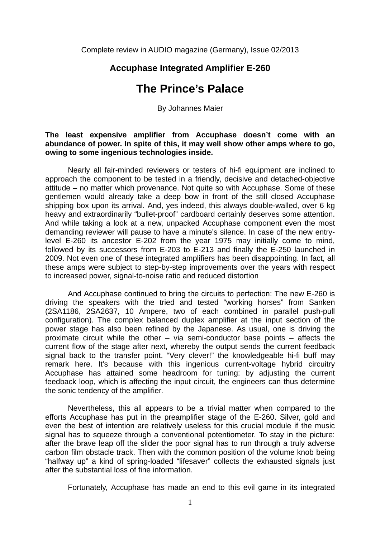Complete review in AUDIO magazine (Germany), Issue 02/2013

# **Accuphase Integrated Amplifier E-260**

# **The Prince's Palace**

By Johannes Maier

### **The least expensive amplifier from Accuphase doesn't come with an abundance of power. In spite of this, it may well show other amps where to go, owing to some ingenious technologies inside.**

Nearly all fair-minded reviewers or testers of hi-fi equipment are inclined to approach the component to be tested in a friendly, decisive and detached-objective attitude – no matter which provenance. Not quite so with Accuphase. Some of these gentlemen would already take a deep bow in front of the still closed Accuphase shipping box upon its arrival. And, yes indeed, this always double-walled, over 6 kg heavy and extraordinarily "bullet-proof" cardboard certainly deserves some attention. And while taking a look at a new, unpacked Accuphase component even the most demanding reviewer will pause to have a minute's silence. In case of the new entrylevel E-260 its ancestor E-202 from the year 1975 may initially come to mind, followed by its successors from E-203 to E-213 and finally the E-250 launched in 2009. Not even one of these integrated amplifiers has been disappointing. In fact, all these amps were subject to step-by-step improvements over the years with respect to increased power, signal-to-noise ratio and reduced distortion

And Accuphase continued to bring the circuits to perfection: The new E-260 is driving the speakers with the tried and tested "working horses" from Sanken (2SA1186, 2SA2637, 10 Ampere, two of each combined in parallel push-pull configuration). The complex balanced duplex amplifier at the input section of the power stage has also been refined by the Japanese. As usual, one is driving the proximate circuit while the other – via semi-conductor base points – affects the current flow of the stage after next, whereby the output sends the current feedback signal back to the transfer point. "Very clever!" the knowledgeable hi-fi buff may remark here. It's because with this ingenious current-voltage hybrid circuitry Accuphase has attained some headroom for tuning: by adjusting the current feedback loop, which is affecting the input circuit, the engineers can thus determine the sonic tendency of the amplifier.

Nevertheless, this all appears to be a trivial matter when compared to the efforts Accuphase has put in the preamplifier stage of the E-260. Silver, gold and even the best of intention are relatively useless for this crucial module if the music signal has to squeeze through a conventional potentiometer. To stay in the picture: after the brave leap off the slider the poor signal has to run through a truly adverse carbon film obstacle track. Then with the common position of the volume knob being "halfway up" a kind of spring-loaded "lifesaver" collects the exhausted signals just after the substantial loss of fine information.

Fortunately, Accuphase has made an end to this evil game in its integrated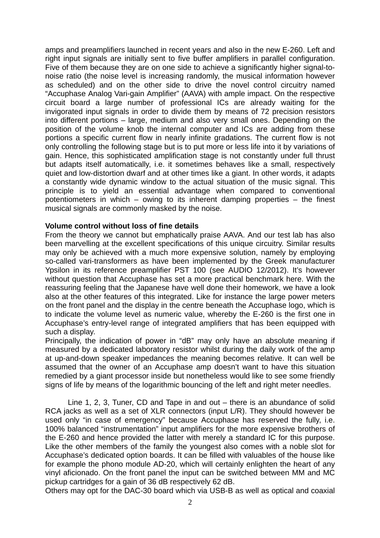amps and preamplifiers launched in recent years and also in the new E-260. Left and right input signals are initially sent to five buffer amplifiers in parallel configuration. Five of them because they are on one side to achieve a significantly higher signal-tonoise ratio (the noise level is increasing randomly, the musical information however as scheduled) and on the other side to drive the novel control circuitry named "Accuphase Analog Vari-gain Amplifier" (AAVA) with ample impact. On the respective circuit board a large number of professional ICs are already waiting for the invigorated input signals in order to divide them by means of 72 precision resistors into different portions – large, medium and also very small ones. Depending on the position of the volume knob the internal computer and ICs are adding from these portions a specific current flow in nearly infinite gradations. The current flow is not only controlling the following stage but is to put more or less life into it by variations of gain. Hence, this sophisticated amplification stage is not constantly under full thrust but adapts itself automatically, i.e. it sometimes behaves like a small, respectively quiet and low-distortion dwarf and at other times like a giant. In other words, it adapts a constantly wide dynamic window to the actual situation of the music signal. This principle is to yield an essential advantage when compared to conventional potentiometers in which – owing to its inherent damping properties – the finest musical signals are commonly masked by the noise.

### **Volume control without loss of fine details**

From the theory we cannot but emphatically praise AAVA. And our test lab has also been marvelling at the excellent specifications of this unique circuitry. Similar results may only be achieved with a much more expensive solution, namely by employing so-called vari-transformers as have been implemented by the Greek manufacturer Ypsilon in its reference preamplifier PST 100 (see AUDIO 12/2012). It's however without question that Accuphase has set a more practical benchmark here. With the reassuring feeling that the Japanese have well done their homework, we have a look also at the other features of this integrated. Like for instance the large power meters on the front panel and the display in the centre beneath the Accuphase logo, which is to indicate the volume level as numeric value, whereby the E-260 is the first one in Accuphase's entry-level range of integrated amplifiers that has been equipped with such a display.

Principally, the indication of power in "dB" may only have an absolute meaning if measured by a dedicated laboratory resistor whilst during the daily work of the amp at up-and-down speaker impedances the meaning becomes relative. It can well be assumed that the owner of an Accuphase amp doesn't want to have this situation remedied by a giant processor inside but nonetheless would like to see some friendly signs of life by means of the logarithmic bouncing of the left and right meter needles.

 Line 1, 2, 3, Tuner, CD and Tape in and out – there is an abundance of solid RCA jacks as well as a set of XLR connectors (input L/R). They should however be used only "in case of emergency" because Accuphase has reserved the fully, i.e. 100% balanced "instrumentation" input amplifiers for the more expensive brothers of the E-260 and hence provided the latter with merely a standard IC for this purpose. Like the other members of the family the youngest also comes with a noble slot for Accuphase's dedicated option boards. It can be filled with valuables of the house like for example the phono module AD-20, which will certainly enlighten the heart of any vinyl aficionado. On the front panel the input can be switched between MM and MC pickup cartridges for a gain of 36 dB respectively 62 dB.

Others may opt for the DAC-30 board which via USB-B as well as optical and coaxial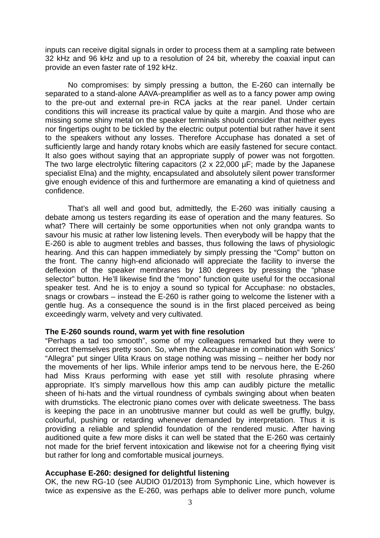inputs can receive digital signals in order to process them at a sampling rate between 32 kHz and 96 kHz and up to a resolution of 24 bit, whereby the coaxial input can provide an even faster rate of 192 kHz.

 No compromises: by simply pressing a button, the E-260 can internally be separated to a stand-alone AAVA-preamplifier as well as to a fancy power amp owing to the pre-out and external pre-in RCA jacks at the rear panel. Under certain conditions this will increase its practical value by quite a margin. And those who are missing some shiny metal on the speaker terminals should consider that neither eyes nor fingertips ought to be tickled by the electric output potential but rather have it sent to the speakers without any losses. Therefore Accuphase has donated a set of sufficiently large and handy rotary knobs which are easily fastened for secure contact. It also goes without saying that an appropriate supply of power was not forgotten. The two large electrolytic filtering capacitors (2 x 22,000 µF; made by the Japanese specialist Elna) and the mighty, encapsulated and absolutely silent power transformer give enough evidence of this and furthermore are emanating a kind of quietness and confidence.

 That's all well and good but, admittedly, the E-260 was initially causing a debate among us testers regarding its ease of operation and the many features. So what? There will certainly be some opportunities when not only grandpa wants to savour his music at rather low listening levels. Then everybody will be happy that the E-260 is able to augment trebles and basses, thus following the laws of physiologic hearing. And this can happen immediately by simply pressing the "Comp" button on the front. The canny high-end aficionado will appreciate the facility to inverse the deflexion of the speaker membranes by 180 degrees by pressing the "phase selector" button. He'll likewise find the "mono" function quite useful for the occasional speaker test. And he is to enjoy a sound so typical for Accuphase: no obstacles, snags or crowbars – instead the E-260 is rather going to welcome the listener with a gentle hug. As a consequence the sound is in the first placed perceived as being exceedingly warm, velvety and very cultivated.

#### **The E-260 sounds round, warm yet with fine resolution**

"Perhaps a tad too smooth", some of my colleagues remarked but they were to correct themselves pretty soon. So, when the Accuphase in combination with Sonics' "Allegra" put singer Ulita Kraus on stage nothing was missing – neither her body nor the movements of her lips. While inferior amps tend to be nervous here, the E-260 had Miss Kraus performing with ease yet still with resolute phrasing where appropriate. It's simply marvellous how this amp can audibly picture the metallic sheen of hi-hats and the virtual roundness of cymbals swinging about when beaten with drumsticks. The electronic piano comes over with delicate sweetness. The bass is keeping the pace in an unobtrusive manner but could as well be gruffly, bulgy, colourful, pushing or retarding whenever demanded by interpretation. Thus it is providing a reliable and splendid foundation of the rendered music. After having auditioned quite a few more disks it can well be stated that the E-260 was certainly not made for the brief fervent intoxication and likewise not for a cheering flying visit but rather for long and comfortable musical journeys.

## **Accuphase E-260: designed for delightful listening**

OK, the new RG-10 (see AUDIO 01/2013) from Symphonic Line, which however is twice as expensive as the E-260, was perhaps able to deliver more punch, volume